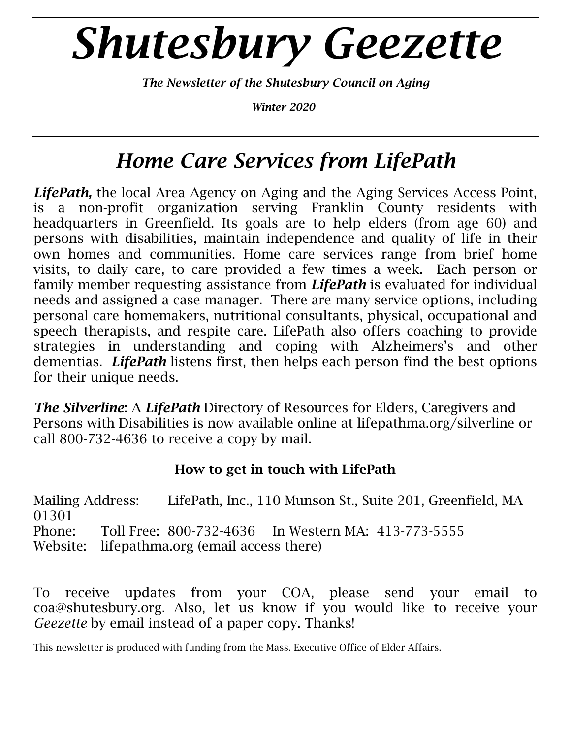# *Shutesbury Geezette*

*The Newsletter of the Shutesbury Council on Aging*

*Winter 2020*

# *Home Care Services from LifePath*

*LifePath,* the local Area Agency on Aging and the Aging Services Access Point, is a non-profit organization serving Franklin County residents with headquarters in Greenfield. Its goals are to help elders (from age 60) and persons with disabilities, maintain independence and quality of life in their own homes and communities. Home care services range from brief home visits, to daily care, to care provided a few times a week. Each person or family member requesting assistance from *LifePath* is evaluated for individual needs and assigned a case manager. There are many service options, including personal care homemakers, nutritional consultants, physical, occupational and speech therapists, and respite care. LifePath also offers coaching to provide strategies in understanding and coping with Alzheimers's and other dementias. *LifePath* listens first, then helps each person find the best options for their unique needs.

*The Silverline*: A *LifePath* Directory of Resources for Elders, Caregivers and Persons with Disabilities is now available online at lifepathma.org/silverline or call 800-732-4636 to receive a copy by mail.

### **How to get in touch with LifePath**

Mailing Address: LifePath, Inc., 110 Munson St., Suite 201, Greenfield, MA 01301 Phone: Toll Free: 800-732-4636 In Western MA: 413-773-5555 Website: lifepathma.org (email access there)

To receive updates from your COA, please send your email to [coa@shutesbury.org.](mailto:coa@shutesbury.org) Also, let us know if you would like to receive your *Geezette* by email instead of a paper copy. Thanks!

This newsletter is produced with funding from the Mass. Executive Office of Elder Affairs.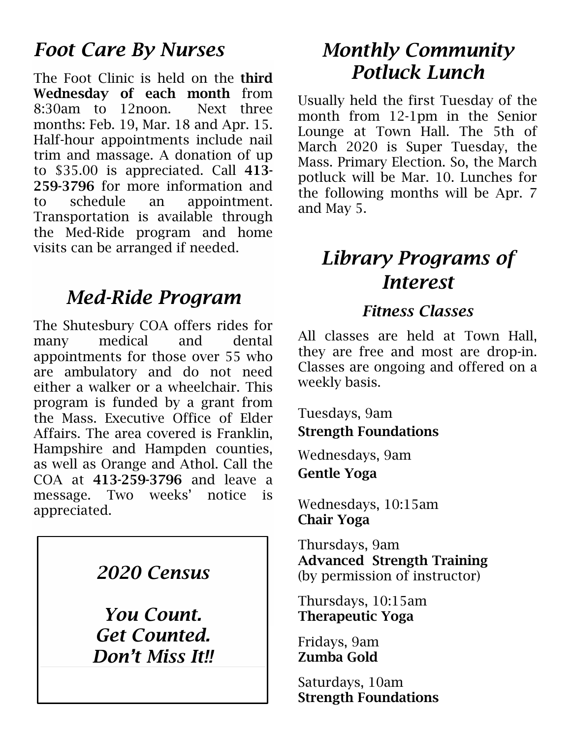# *Foot Care By Nurses*

The Foot Clinic is held on the **third Wednesday of each month** from 8:30am to 12noon. Next three months: Feb. 19, Mar. 18 and Apr. 15. Half-hour appointments include nail trim and massage. A donation of up to \$35.00 is appreciated. Call **413- 259-3796** for more information and to schedule an appointment. Transportation is available through the Med-Ride program and home visits can be arranged if needed.

## *Med-Ride Program*

The Shutesbury COA offers rides for many medical and dental appointments for those over 55 who are ambulatory and do not need either a walker or a wheelchair. This program is funded by a grant from the Mass. Executive Office of Elder Affairs. The area covered is Franklin, Hampshire and Hampden counties, as well as Orange and Athol. Call the COA at **413-259-3796** and leave a message. Two weeks' notice is appreciated.

## *2020 Census*

*You Count. Get Counted. Don't Miss It!!*

# *Monthly Community Potluck Lunch*

Usually held the first Tuesday of the month from 12-1pm in the Senior Lounge at Town Hall. The 5th of March 2020 is Super Tuesday, the Mass. Primary Election. So, the March potluck will be Mar. 10. Lunches for the following months will be Apr. 7 and May 5.

# *Library Programs of Interest*

## *Fitness Classes*

All classes are held at Town Hall, they are free and most are drop-in. Classes are ongoing and offered on a weekly basis.

Tuesdays, 9am **Strength Foundations**

Wednesdays, 9am **Gentle Yoga**

Wednesdays, 10:15am **Chair Yoga**

Thursdays, 9am **Advanced Strength Training** (by permission of instructor)

Thursdays, 10:15am **Therapeutic Yoga**

Fridays, 9am **Zumba Gold**

Saturdays, 10am **Strength Foundations**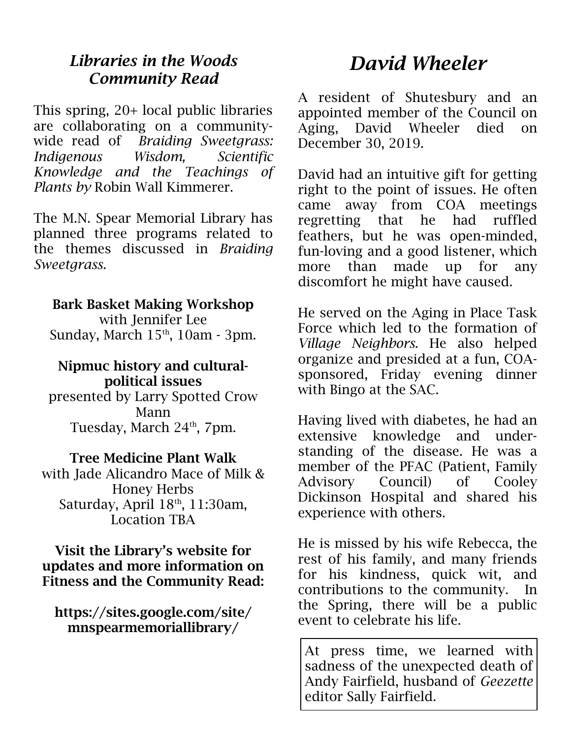## *Libraries in the Woods Community Read*

This spring, 20+ local public libraries are collaborating on a communitywide read of *Braiding Sweetgrass: Indigenous Wisdom, Scientific Knowledge and the Teachings of Plants by* Robin Wall Kimmerer.

The M.N. Spear Memorial Library has planned three programs related to the themes discussed in *Braiding Sweetgrass.*

#### **Bark Basket Making Workshop**

with Jennifer Lee Sunday, March  $15<sup>th</sup>$ , 10am - 3pm.

#### **Nipmuc history and culturalpolitical issues**

presented by Larry Spotted Crow Mann Tuesday, March 24<sup>th</sup>, 7pm.

#### **Tree Medicine Plant Walk**

with Jade Alicandro Mace of Milk & Honey Herbs Saturday, April 18<sup>th</sup>, 11:30am, Location TBA

#### **Visit the Library's website for updates and more information on Fitness and the Community Read:**

#### **https://sites.google.com/site/ mnspearmemoriallibrary/**

# *David Wheeler*

A resident of Shutesbury and an appointed member of the Council on Aging, David Wheeler died on December 30, 2019.

David had an intuitive gift for getting right to the point of issues. He often came away from COA meetings regretting that he had ruffled feathers, but he was open-minded, fun-loving and a good listener, which more than made up for any discomfort he might have caused.

He served on the Aging in Place Task Force which led to the formation of *Village Neighbors*. He also helped organize and presided at a fun, COAsponsored, Friday evening dinner with Bingo at the SAC.

Having lived with diabetes, he had an extensive knowledge and understanding of the disease. He was a member of the PFAC (Patient, Family Advisory Council) of Cooley Dickinson Hospital and shared his experience with others.

He is missed by his wife Rebecca, the rest of his family, and many friends for his kindness, quick wit, and contributions to the community. In the Spring, there will be a public event to celebrate his life.

At press time, we learned with sadness of the unexpected death of Andy Fairfield, husband of *Geezette* editor Sally Fairfield.